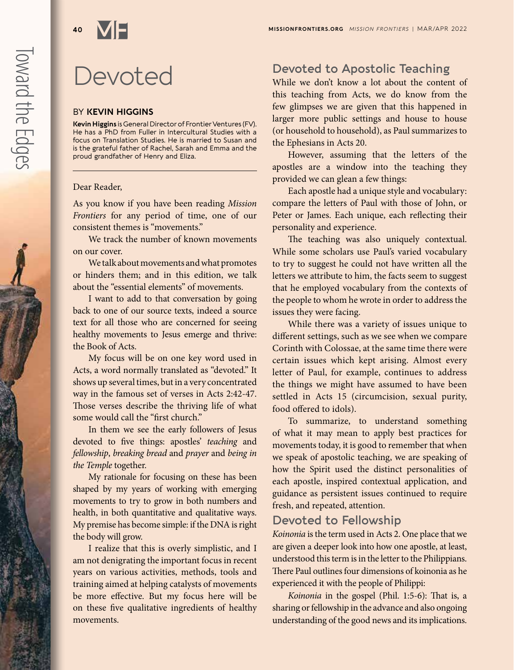# Devoted

#### BY **KEVIN HIGGINS**

**Kevin Higgins** is General Director of Frontier Ventures (FV). He has a PhD from Fuller in Intercultural Studies with a focus on Translation Studies. He is married to Susan and is the grateful father of Rachel, Sarah and Emma and the proud grandfather of Henry and Eliza.

#### Dear Reader,

As you know if you have been reading *Mission Frontiers* for any period of time, one of our consistent themes is "movements."

We track the number of known movements on our cover.

We talk about movements and what promotes or hinders them; and in this edition, we talk about the "essential elements" of movements.

I want to add to that conversation by going back to one of our source texts, indeed a source text for all those who are concerned for seeing healthy movements to Jesus emerge and thrive: the Book of Acts.

My focus will be on one key word used in Acts, a word normally translated as "devoted." It shows up several times, but in a very concentrated way in the famous set of verses in Acts 2:42-47. Those verses describe the thriving life of what some would call the "first church."

In them we see the early followers of Jesus devoted to five things: apostles' *teaching* and *fellowship*, *breaking bread* and *prayer* and *being in the Temple* together.

My rationale for focusing on these has been shaped by my years of working with emerging movements to try to grow in both numbers and health, in both quantitative and qualitative ways. My premise has become simple: if the DNA is right the body will grow.

I realize that this is overly simplistic, and I am not denigrating the important focus in recent years on various activities, methods, tools and training aimed at helping catalysts of movements be more effective. But my focus here will be on these five qualitative ingredients of healthy movements.

# **Devoted to Apostolic Teaching**

While we don't know a lot about the content of this teaching from Acts, we do know from the few glimpses we are given that this happened in larger more public settings and house to house (or household to household), as Paul summarizes to the Ephesians in Acts 20.

However, assuming that the letters of the apostles are a window into the teaching they provided we can glean a few things:

Each apostle had a unique style and vocabulary: compare the letters of Paul with those of John, or Peter or James. Each unique, each reflecting their personality and experience.

The teaching was also uniquely contextual. While some scholars use Paul's varied vocabulary to try to suggest he could not have written all the letters we attribute to him, the facts seem to suggest that he employed vocabulary from the contexts of the people to whom he wrote in order to address the issues they were facing.

While there was a variety of issues unique to different settings, such as we see when we compare Corinth with Colossae, at the same time there were certain issues which kept arising. Almost every letter of Paul, for example, continues to address the things we might have assumed to have been settled in Acts 15 (circumcision, sexual purity, food offered to idols).

To summarize, to understand something of what it may mean to apply best practices for movements today, it is good to remember that when we speak of apostolic teaching, we are speaking of how the Spirit used the distinct personalities of each apostle, inspired contextual application, and guidance as persistent issues continued to require fresh, and repeated, attention.

## **Devoted to Fellowship**

*Koinonia* is the term used in Acts 2. One place that we are given a deeper look into how one apostle, at least, understood this term is in the letter to the Philippians. There Paul outlines four dimensions of koinonia as he experienced it with the people of Philippi:

*Koinonia* in the gospel (Phil. 1:5-6): That is, a sharing or fellowship in the advance and also ongoing understanding of the good news and its implications.